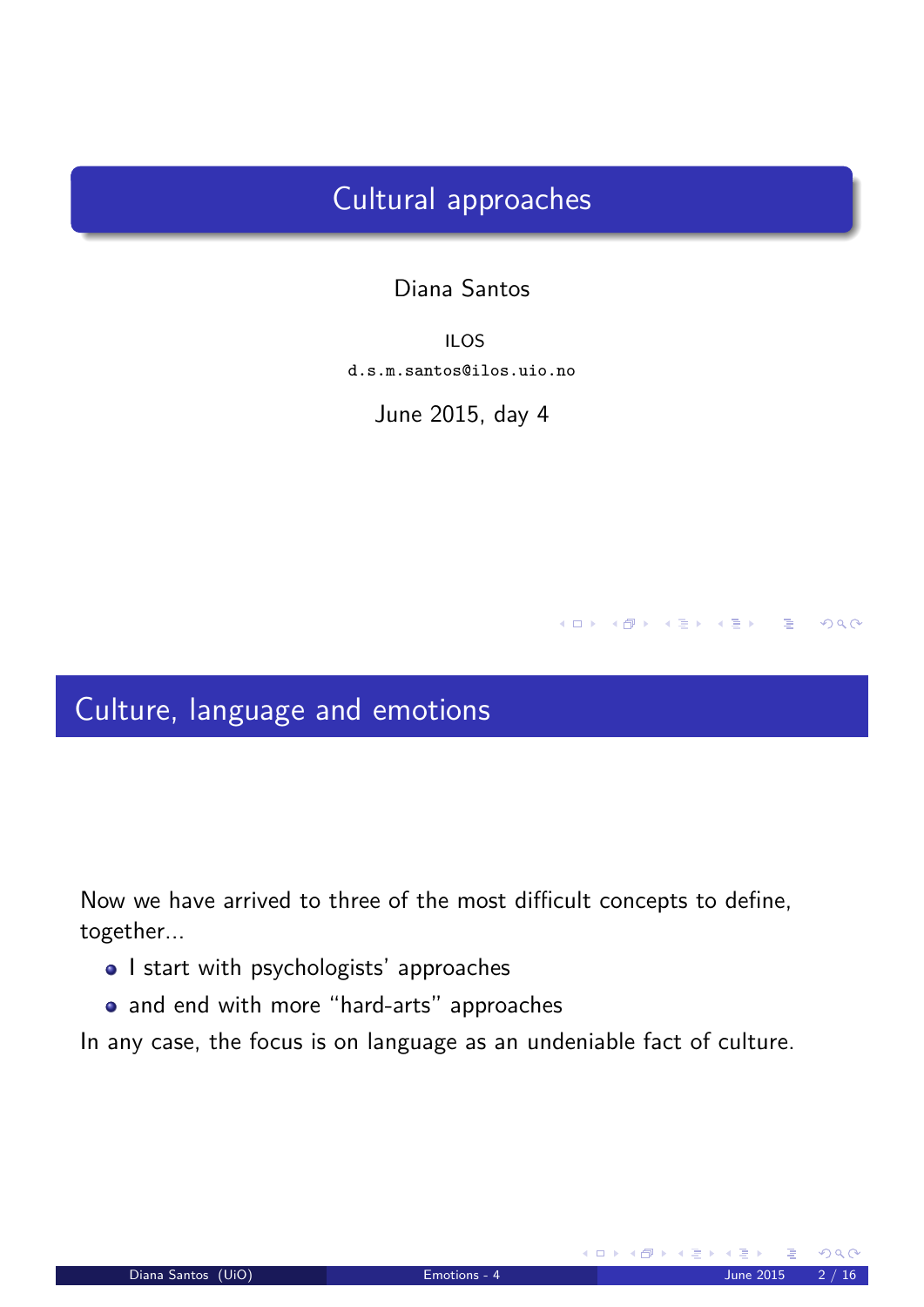## Cultural approaches

### Diana Santos

ILOS d.s.m.santos@ilos.uio.no

June 2015, day 4

## Culture, language and emotions

Now we have arrived to three of the most difficult concepts to define, together...

- I start with psychologists' approaches
- and end with more "hard-arts" approaches

<span id="page-0-0"></span>In any case, the focus is on language as an undeniable fact of culture.

 $A \Box B$   $A \Box B$   $A \Box B$   $A \Box B$   $A \Box B$   $A \Box B$ 

 $DQ$ 

一番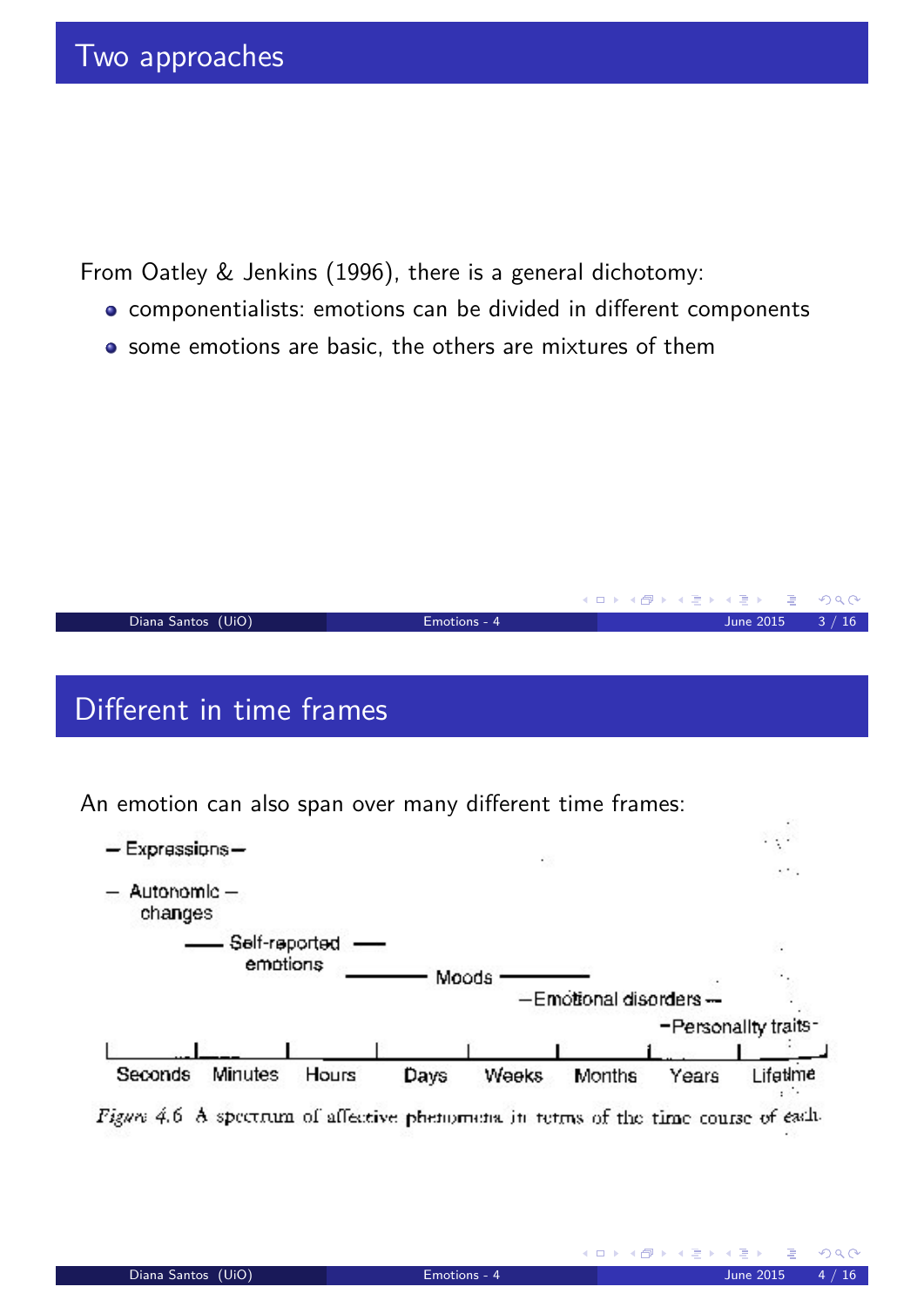From Oatley & Jenkins (1996), there is a general dichotomy:

- componentialists: emotions can be divided in different components
- some emotions are basic, the others are mixtures of them

|                    |              | - ◀ ㅁ ▶ ◀ @ ▶ ◀ 로 ▶ ◀ 로 ▶ _ 로 _ ⊙) Q (아 . |
|--------------------|--------------|-------------------------------------------|
| Diana Santos (UiO) | Emotions - 4 | June 2015 $3 / 16$                        |
|                    |              |                                           |
|                    |              |                                           |

# Different in time frames

An emotion can also span over many different time frames:

<span id="page-1-0"></span>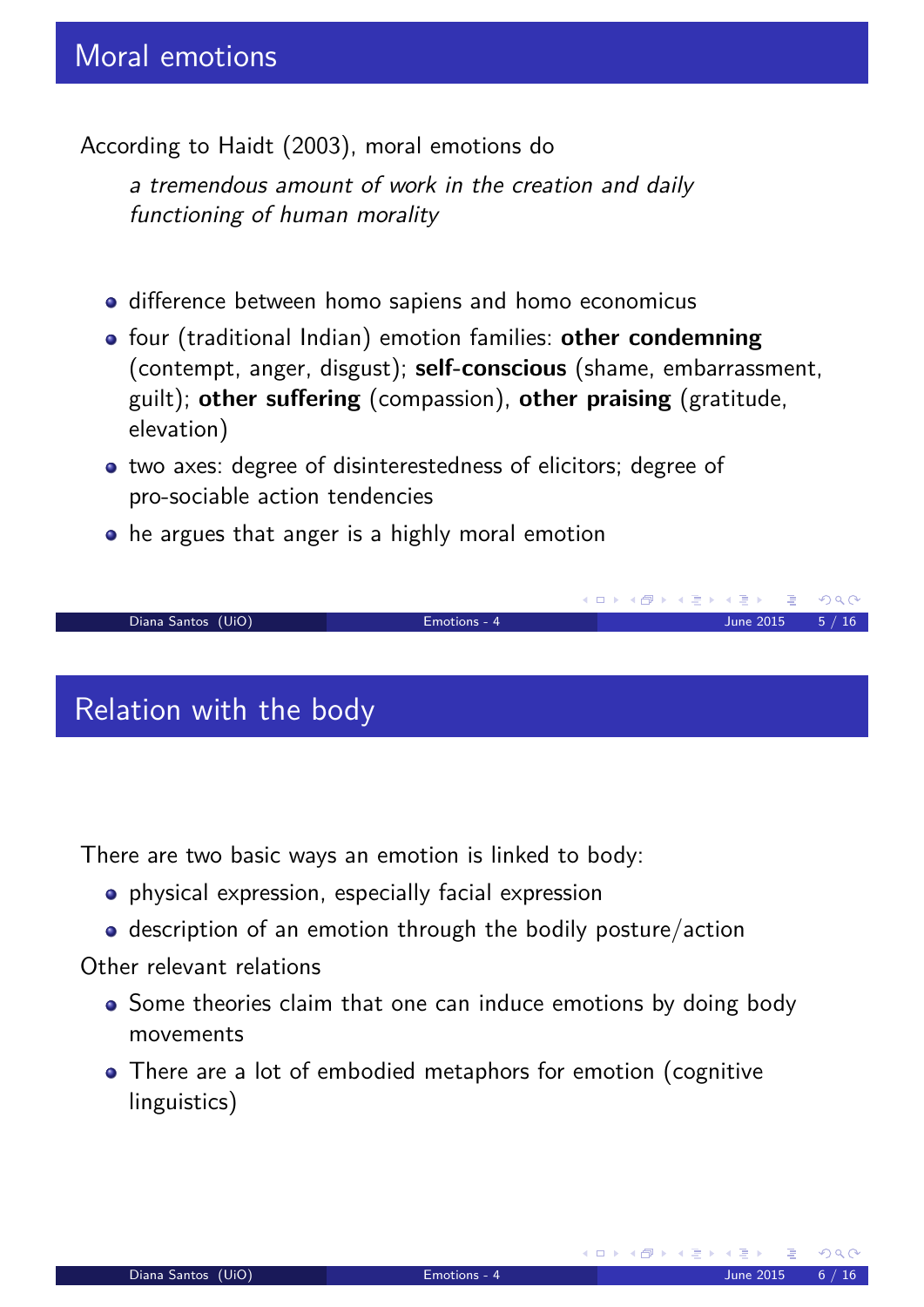According to Haidt (2003), moral emotions do

a tremendous amount of work in the creation and daily functioning of human morality

- difference between homo sapiens and homo economicus
- **•** four (traditional Indian) emotion families: other condemning (contempt, anger, disgust); **self-conscious** (shame, embarrassment, guilt); **other suffering** (compassion), **other praising** (gratitude, elevation)
- two axes: degree of disinterestedness of elicitors; degree of pro-sociable action tendencies
- he argues that anger is a highly moral emotion



There are two basic ways an emotion is linked to body:

- physical expression, especially facial expression
- description of an emotion through the bodily posture/action

### Other relevant relations

- Some theories claim that one can induce emotions by doing body movements
- <span id="page-2-0"></span>• There are a lot of embodied metaphors for emotion (cognitive linguistics)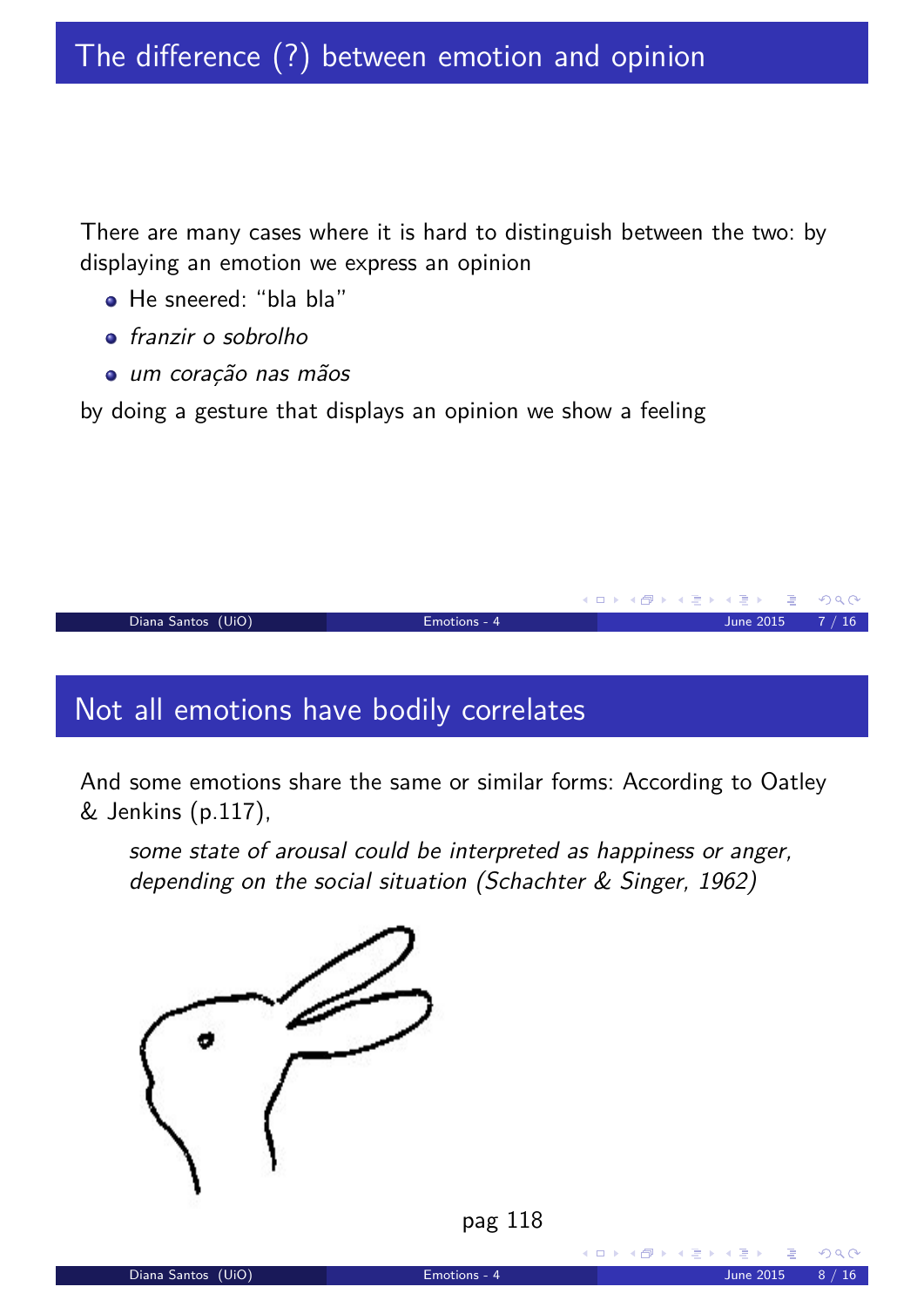There are many cases where it is hard to distinguish between the two: by displaying an emotion we express an opinion

- He sneered: "bla bla"
- **o** franzir o sobrolho
- um coração nas mãos

by doing a gesture that displays an opinion we show a feeling



## Not all emotions have bodily correlates

And some emotions share the same or similar forms: According to Oatley & Jenkins (p.117),

some state of arousal could be interpreted as happiness or anger, depending on the social situation (Schachter & Singer, 1962)





<span id="page-3-0"></span>(ロ) (団)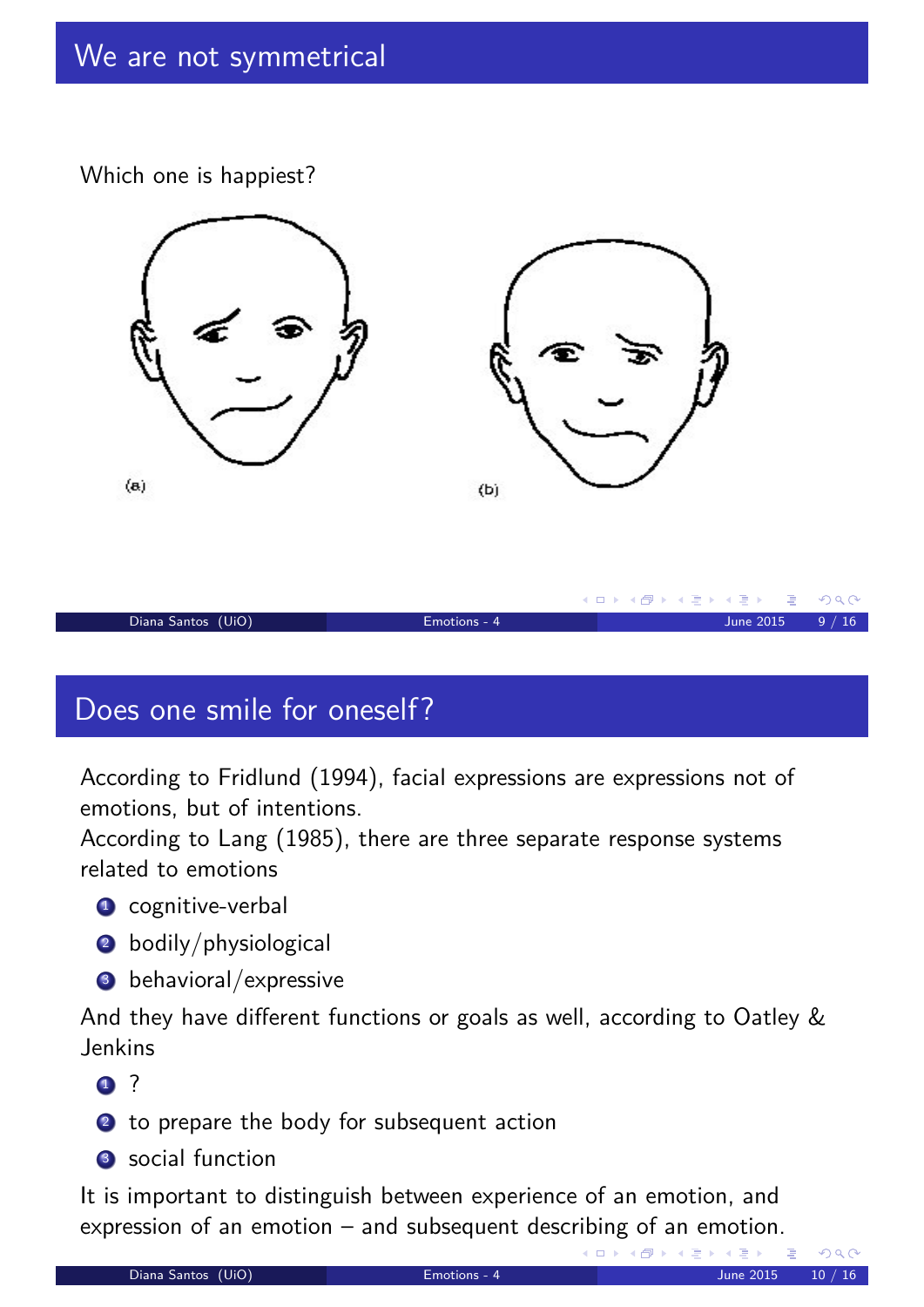Which one is happiest?



# Does one smile for oneself?

According to Fridlund (1994), facial expressions are expressions not of emotions, but of intentions.

According to Lang (1985), there are three separate response systems related to emotions

- <sup>1</sup> cognitive-verbal
- 2 bodily/physiological
- <sup>3</sup> behavioral/expressive

And they have different functions or goals as well, according to Oatley & Jenkins

- $\mathbf 1$  ?
- 2 to prepare the body for subsequent action
- 3 social function

It is important to distinguish between experience of an emotion, and expression of an emotion – and subsequent describing of an emotion.

<span id="page-4-0"></span>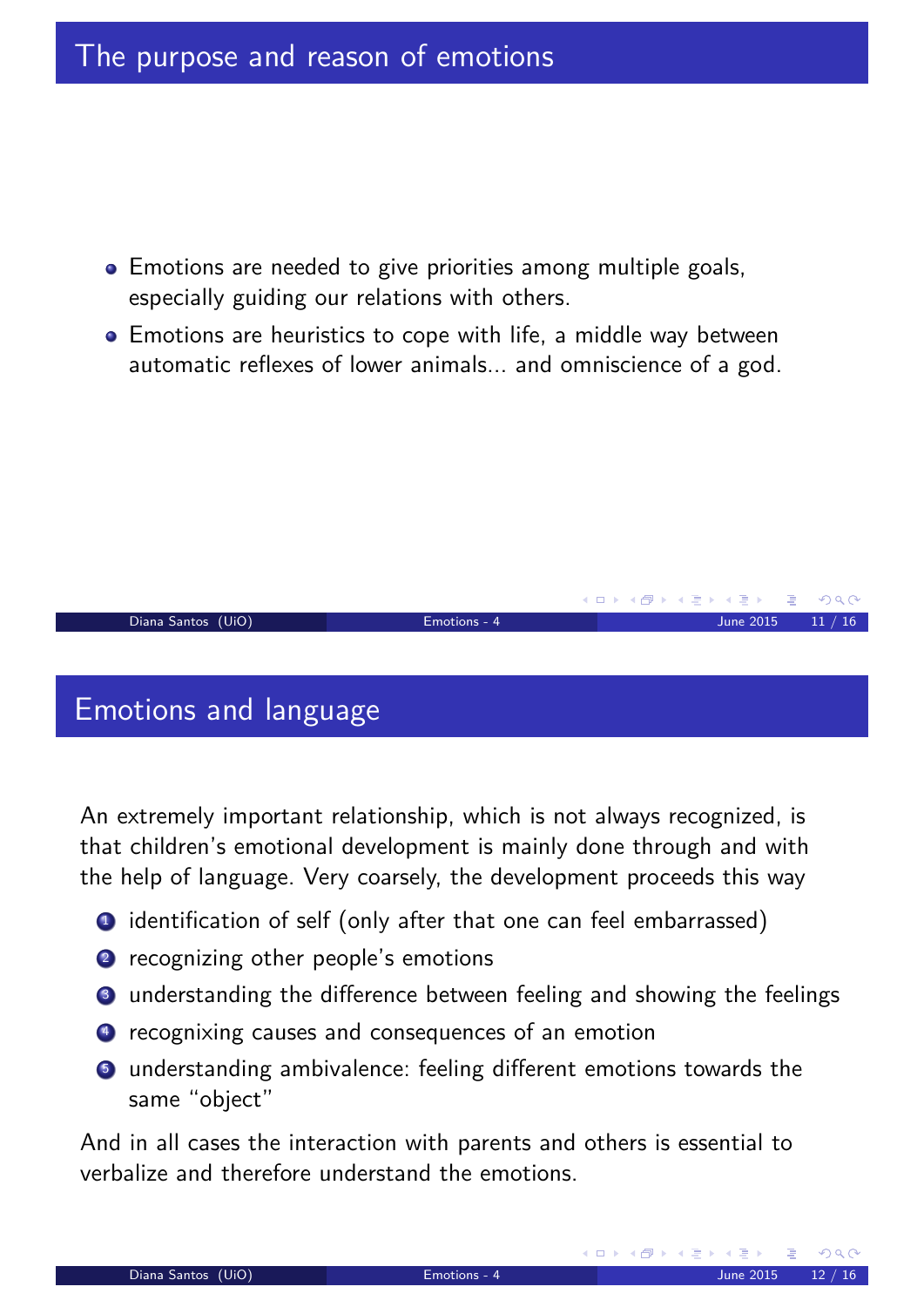- **•** Emotions are needed to give priorities among multiple goals, especially guiding our relations with others.
- Emotions are heuristics to cope with life, a middle way between automatic reflexes of lower animals... and omniscience of a god.



An extremely important relationship, which is not always recognized, is that children's emotional development is mainly done through and with the help of language. Very coarsely, the development proceeds this way

- <sup>1</sup> identification of self (only after that one can feel embarrassed)
- 2 recognizing other people's emotions
- <sup>3</sup> understanding the difference between feeling and showing the feelings
- <sup>4</sup> recognixing causes and consequences of an emotion
- **5** understanding ambivalence: feeling different emotions towards the same "object"

<span id="page-5-0"></span>And in all cases the interaction with parents and others is essential to verbalize and therefore understand the emotions.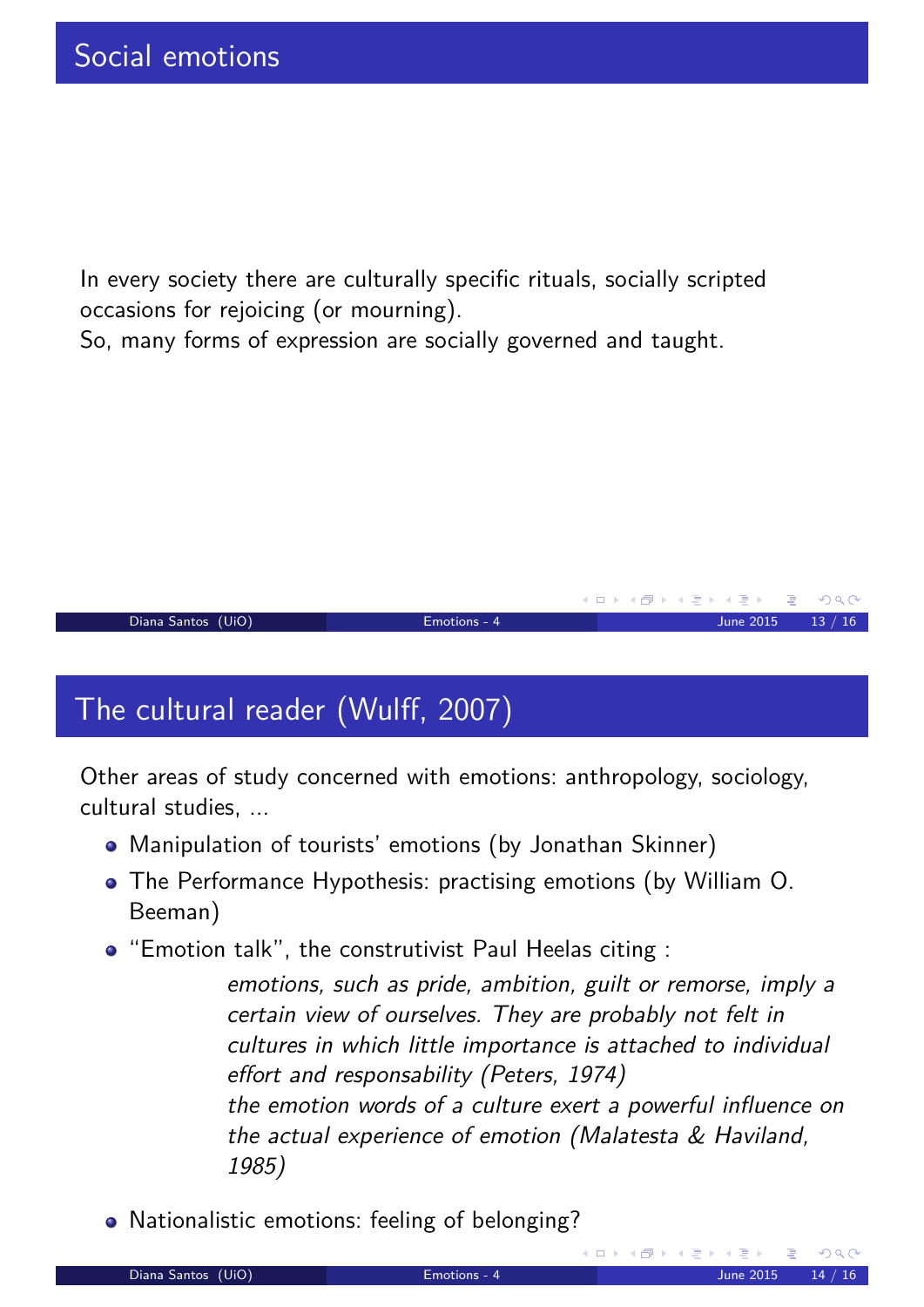In every society there are culturally specific rituals, socially scripted occasions for rejoicing (or mourning).

So, many forms of expression are socially governed and taught.



# The cultural reader (Wulff, 2007)

Other areas of study concerned with emotions: anthropology, sociology, cultural studies, ...

- Manipulation of tourists' emotions (by Jonathan Skinner)
- The Performance Hypothesis: practising emotions (by William O. Beeman)
- "Emotion talk", the construtivist Paul Heelas citing :
	- emotions, such as pride, ambition, guilt or remorse, imply a certain view of ourselves. They are probably not felt in cultures in which little importance is attached to individual effort and responsability (Peters, 1974) the emotion words of a culture exert a powerful influence on the actual experience of emotion (Malatesta & Haviland, 1985)
- <span id="page-6-0"></span>• Nationalistic emotions: feeling of belonging?

K ロ ▶ K @ ▶ K 할 ▶ K 할 ▶ .. 할